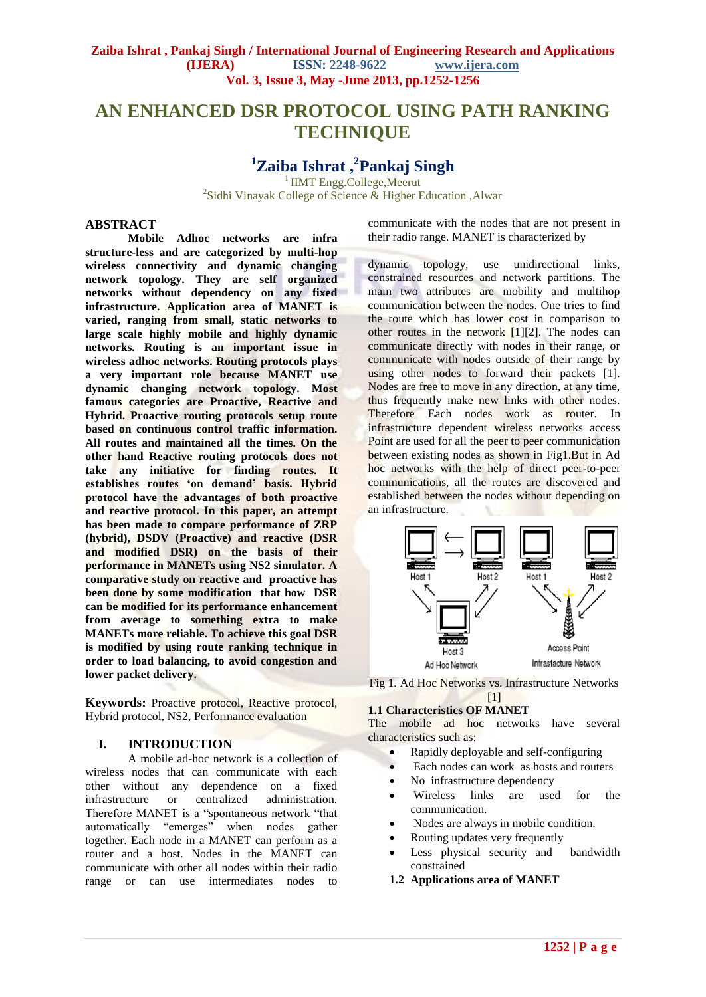# **AN ENHANCED DSR PROTOCOL USING PATH RANKING TECHNIQUE**

# **<sup>1</sup>Zaiba Ishrat , 2 Pankaj Singh**

<sup>1</sup>IIMT Engg.College,Meerut

<sup>2</sup>Sidhi Vinayak College of Science & Higher Education , Alwar

## **ABSTRACT**

**Mobile Adhoc networks are infra structure-less and are categorized by multi-hop wireless connectivity and dynamic changing network topology. They are self organized networks without dependency on any fixed infrastructure. Application area of MANET is varied, ranging from small, static networks to large scale highly mobile and highly dynamic networks. Routing is an important issue in wireless adhoc networks. Routing protocols plays a very important role because MANET use dynamic changing network topology. Most famous categories are Proactive, Reactive and Hybrid. Proactive routing protocols setup route based on continuous control traffic information. All routes and maintained all the times. On the other hand Reactive routing protocols does not take any initiative for finding routes. It establishes routes 'on demand' basis. Hybrid protocol have the advantages of both proactive and reactive protocol. In this paper, an attempt has been made to compare performance of ZRP (hybrid), DSDV (Proactive) and reactive (DSR and modified DSR) on the basis of their performance in MANETs using NS2 simulator. A comparative study on reactive and proactive has been done by some modification that how DSR can be modified for its performance enhancement from average to something extra to make MANETs more reliable. To achieve this goal DSR is modified by using route ranking technique in order to load balancing, to avoid congestion and lower packet delivery.**

**Keywords:** Proactive protocol, Reactive protocol, Hybrid protocol, NS2, Performance evaluation

## **I. INTRODUCTION**

A mobile ad-hoc network is a collection of wireless nodes that can communicate with each other without any dependence on a fixed infrastructure or centralized administration. infrastructure or centralized administration. Therefore MANET is a "spontaneous network "that automatically "emerges" when nodes gather together. Each node in a MANET can perform as a router and a host. Nodes in the MANET can communicate with other all nodes within their radio range or can use intermediates nodes to

communicate with the nodes that are not present in their radio range. MANET is characterized by

dynamic topology, use unidirectional links, constrained resources and network partitions. The main two attributes are mobility and multihop communication between the nodes. One tries to find the route which has lower cost in comparison to other routes in the network [1][2]. The nodes can communicate directly with nodes in their range, or communicate with nodes outside of their range by using other nodes to forward their packets [1]. Nodes are free to move in any direction, at any time, thus frequently make new links with other nodes. Therefore Each nodes work as router. In infrastructure dependent wireless networks access Point are used for all the peer to peer communication between existing nodes as shown in Fig1.But in Ad hoc networks with the help of direct peer-to-peer communications, all the routes are discovered and established between the nodes without depending on an infrastructure.



Fig 1. Ad Hoc Networks vs. Infrastructure Networks  $[1]$ 

## **1.1 Characteristics OF MANET**

The mobile ad hoc networks have several characteristics such as:

- Rapidly deployable and self-configuring
- Each nodes can work as hosts and routers
- No infrastructure dependency
- Wireless links are used for the communication.
- Nodes are always in mobile condition.
- Routing updates very frequently
- Less physical security and bandwidth constrained
- **1.2 Applications area of MANET**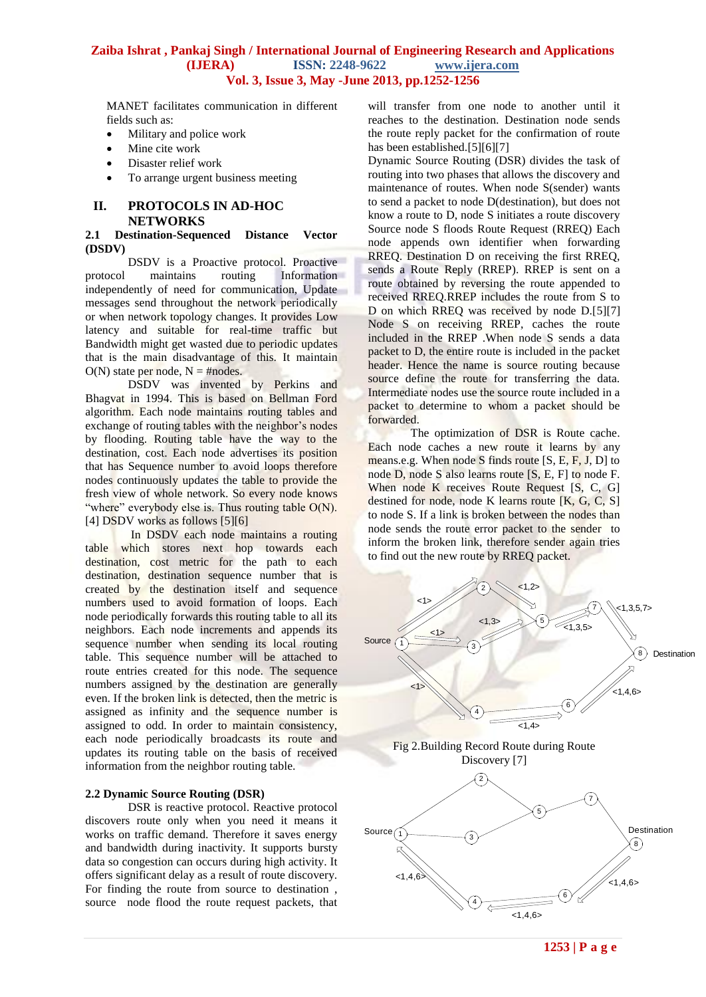MANET facilitates communication in different fields such as:

- Military and police work
- Mine cite work
- Disaster relief work
- To arrange urgent business meeting

# **II. PROTOCOLS IN AD-HOC NETWORKS**

#### **2.1 Destination-Sequenced Distance Vector (DSDV)**

DSDV is a Proactive protocol. Proactive protocol maintains routing Information independently of need for communication, Update messages send throughout the network periodically or when network topology changes. It provides Low latency and suitable for real-time traffic but Bandwidth might get wasted due to periodic updates that is the main disadvantage of this. It maintain  $O(N)$  state per node,  $N = \text{\textsterling}$  #nodes.

DSDV was invented by Perkins and Bhagvat in 1994. This is based on Bellman Ford algorithm. Each node maintains routing tables and exchange of routing tables with the neighbor's nodes by flooding. Routing table have the way to the destination, cost. Each node advertises its position that has Sequence number to avoid loops therefore nodes continuously updates the table to provide the fresh view of whole network. So every node knows "where" everybody else is. Thus routing table  $O(N)$ . [4] DSDV works as follows [5][6]

In DSDV each node maintains a routing table which stores next hop towards each destination, cost metric for the path to each destination, destination sequence number that is created by the destination itself and sequence numbers used to avoid formation of loops. Each node periodically forwards this routing table to all its neighbors. Each node increments and appends its sequence number when sending its local routing table. This sequence number will be attached to route entries created for this node. The sequence numbers assigned by the destination are generally even. If the broken link is detected, then the metric is assigned as infinity and the sequence number is assigned to odd. In order to maintain consistency, each node periodically broadcasts its route and updates its routing table on the basis of received information from the neighbor routing table.

# **2.2 Dynamic Source Routing (DSR)**

DSR is reactive protocol. Reactive protocol discovers route only when you need it means it works on traffic demand. Therefore it saves energy and bandwidth during inactivity. It supports bursty data so congestion can occurs during high activity. It offers significant delay as a result of route discovery. For finding the route from source to destination , source node flood the route request packets, that

will transfer from one node to another until it reaches to the destination. Destination node sends the route reply packet for the confirmation of route has been established.[5][6][7]

Dynamic Source Routing (DSR) divides the task of routing into two phases that allows the discovery and maintenance of routes. When node S(sender) wants to send a packet to node D(destination), but does not know a route to D, node S initiates a route discovery Source node S floods Route Request (RREQ) Each node appends own identifier when forwarding RREQ. Destination D on receiving the first RREQ, sends a Route Reply (RREP). RREP is sent on a route obtained by reversing the route appended to received RREQ.RREP includes the route from S to D on which RREQ was received by node D.[5][7] Node S on receiving RREP, caches the route included in the RREP .When node S sends a data packet to D, the entire route is included in the packet header. Hence the name is source routing because source define the route for transferring the data. Intermediate nodes use the source route included in a packet to determine to whom a packet should be forwarded.

The optimization of DSR is Route cache. Each node caches a new route it learns by any means.e.g. When node S finds route [S, E, F, J, D] to node D, node S also learns route [S, E, F] to node F. When node K receives Route Request [S, C, G] destined for node, node K learns route [K, G, C, S] to node S. If a link is broken between the nodes than node sends the route error packet to the sender to inform the broken link, therefore sender again tries to find out the new route by RREQ packet.



**1253 | P a g e**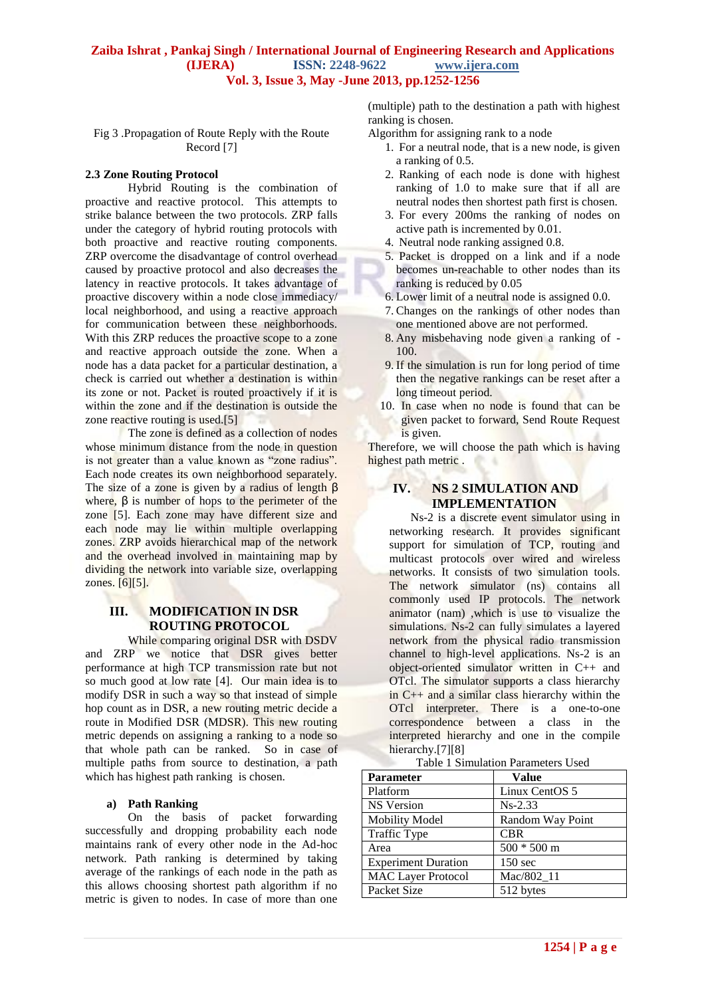Fig 3 .Propagation of Route Reply with the Route Record [7]

#### **2.3 Zone Routing Protocol**

Hybrid Routing is the combination of proactive and reactive protocol. This attempts to strike balance between the two protocols. ZRP falls under the category of hybrid routing protocols with both proactive and reactive routing components. ZRP overcome the disadvantage of control overhead caused by proactive protocol and also decreases the latency in reactive protocols. It takes advantage of proactive discovery within a node close immediacy/ local neighborhood, and using a reactive approach for communication between these neighborhoods. With this ZRP reduces the proactive scope to a zone and reactive approach outside the zone. When a node has a data packet for a particular destination, a check is carried out whether a destination is within its zone or not. Packet is routed proactively if it is within the zone and if the destination is outside the zone reactive routing is used.[5]

The zone is defined as a collection of nodes whose minimum distance from the node in question is not greater than a value known as "zone radius". Each node creates its own neighborhood separately. The size of a zone is given by a radius of length  $\beta$ where,  $\beta$  is number of hops to the perimeter of the zone [5]. Each zone may have different size and each node may lie within multiple overlapping zones. ZRP avoids hierarchical map of the network and the overhead involved in maintaining map by dividing the network into variable size, overlapping zones. [6][5].

## **III. MODIFICATION IN DSR ROUTING PROTOCOL**

While comparing original DSR with DSDV and ZRP we notice that DSR gives better performance at high TCP transmission rate but not so much good at low rate [4]. Our main idea is to modify DSR in such a way so that instead of simple hop count as in DSR, a new routing metric decide a route in Modified DSR (MDSR). This new routing metric depends on assigning a ranking to a node so that whole path can be ranked. So in case of multiple paths from source to destination, a path which has highest path ranking is chosen.

#### **a) Path Ranking**

On the basis of packet forwarding successfully and dropping probability each node maintains rank of every other node in the Ad-hoc network. Path ranking is determined by taking average of the rankings of each node in the path as this allows choosing shortest path algorithm if no metric is given to nodes. In case of more than one (multiple) path to the destination a path with highest ranking is chosen.

Algorithm for assigning rank to a node

- 1. For a neutral node, that is a new node, is given a ranking of 0.5.
- 2. Ranking of each node is done with highest ranking of 1.0 to make sure that if all are neutral nodes then shortest path first is chosen.
- 3. For every 200ms the ranking of nodes on active path is incremented by 0.01.
- 4. Neutral node ranking assigned 0.8.
- 5. Packet is dropped on a link and if a node becomes un-reachable to other nodes than its ranking is reduced by 0.05
- 6. Lower limit of a neutral node is assigned 0.0.
- 7. Changes on the rankings of other nodes than one mentioned above are not performed.
- 8. Any misbehaving node given a ranking of 100.
- 9. If the simulation is run for long period of time then the negative rankings can be reset after a long timeout period.
- 10. In case when no node is found that can be given packet to forward, Send Route Request is given.

Therefore, we will choose the path which is having highest path metric .

# **IV. NS 2 SIMULATION AND IMPLEMENTATION**

Ns-2 is a discrete event simulator using in networking research. It provides significant support for simulation of TCP, routing and multicast protocols over wired and wireless networks. It consists of two simulation tools. The network simulator (ns) contains all commonly used IP protocols. The network animator (nam) ,which is use to visualize the simulations. Ns-2 can fully simulates a layered network from the physical radio transmission channel to high-level applications. Ns-2 is an object-oriented simulator written in C++ and OTcl. The simulator supports a class hierarchy in C++ and a similar class hierarchy within the OTcl interpreter. There is a one-to-one correspondence between a class in the interpreted hierarchy and one in the compile hierarchy.<sup>[7][8]</sup>

| <b>Parameter</b>           | <b>Value</b>      |
|----------------------------|-------------------|
| Platform                   | Linux CentOS 5    |
| <b>NS</b> Version          | $Ns-2.33$         |
| <b>Mobility Model</b>      | Random Way Point  |
| Traffic Type               | <b>CBR</b>        |
| Area                       | $500 * 500$ m     |
| <b>Experiment Duration</b> | $150 \text{ sec}$ |
| <b>MAC Layer Protocol</b>  | Mac/802 11        |
| Packet Size                | 512 bytes         |

Table 1 Simulation Parameters Used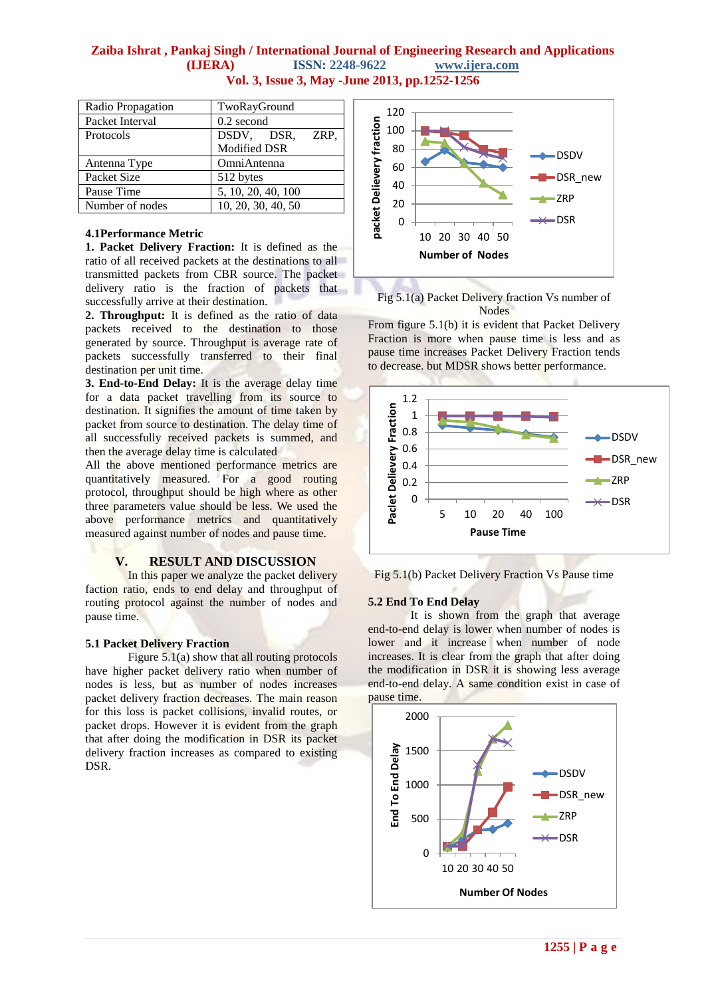| Radio Propagation | TwoRayGround       |
|-------------------|--------------------|
| Packet Interval   | $0.2$ second       |
| Protocols         | ZRP,<br>DSDV, DSR, |
|                   | Modified DSR       |
| Antenna Type      | OmniAntenna        |
| Packet Size       | 512 bytes          |
| Pause Time        | 5, 10, 20, 40, 100 |
| Number of nodes   | 10, 20, 30, 40, 50 |

## **4.1Performance Metric**

**1. Packet Delivery Fraction:** It is defined as the ratio of all received packets at the destinations to all transmitted packets from CBR source. The packet delivery ratio is the fraction of packets that successfully arrive at their destination.

**2. Throughput:** It is defined as the ratio of data packets received to the destination to those generated by source. Throughput is average rate of packets successfully transferred to their final destination per unit time.

**3. End-to-End Delay:** It is the average delay time for a data packet travelling from its source to destination. It signifies the amount of time taken by packet from source to destination. The delay time of all successfully received packets is summed, and then the average delay time is calculated

All the above mentioned performance metrics are quantitatively measured. For a good routing protocol, throughput should be high where as other three parameters value should be less. We used the above performance metrics and quantitatively measured against number of nodes and pause time.

# **V. RESULT AND DISCUSSION**

In this paper we analyze the packet delivery faction ratio, ends to end delay and throughput of routing protocol against the number of nodes and pause time.

## **5.1 Packet Delivery Fraction**

Figure 5.1(a) show that all routing protocols have higher packet delivery ratio when number of nodes is less, but as number of nodes increases packet delivery fraction decreases. The main reason for this loss is packet collisions, invalid routes, or packet drops. However it is evident from the graph that after doing the modification in DSR its packet delivery fraction increases as compared to existing DSR.



Fig 5.1(a) Packet Delivery fraction Vs number of Nodes

From figure 5.1(b) it is evident that Packet Delivery Fraction is more when pause time is less and as pause time increases Packet Delivery Fraction tends to decrease. but MDSR shows better performance.



Fig 5.1(b) Packet Delivery Fraction Vs Pause time

## **5.2 End To End Delay**

It is shown from the graph that average end-to-end delay is lower when number of nodes is lower and it increase when number of node increases. It is clear from the graph that after doing the modification in DSR it is showing less average end-to-end delay. A same condition exist in case of pause time.